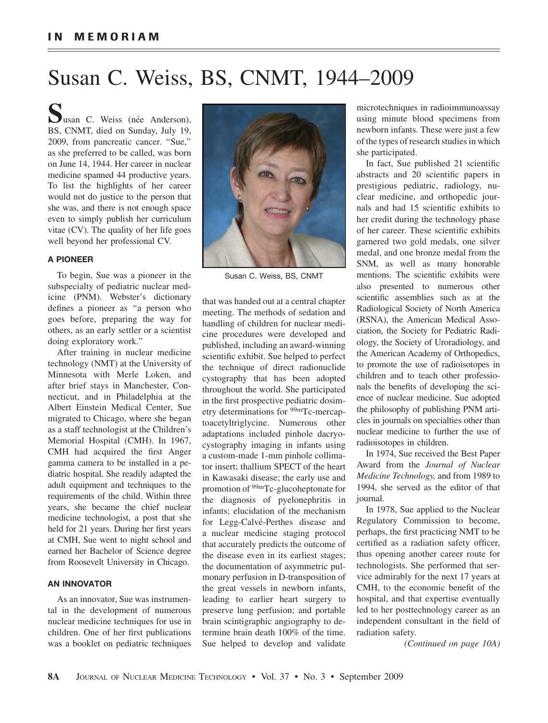# Susan C. Weiss, BS, CNMT, 1944–2009

Susan C. Weiss (née Anderson),<br>BS, CNMT, died on Sunday, July 19, 2009, from pancreatic cancer. ''Sue,'' as she preferred to be called, was born on June 14, 1944. Her career in nuclear medicine spanned 44 productive years. To list the highlights of her career would not do justice to the person that she was, and there is not enough space even to simply publish her curriculum vitae (CV). The quality of her life goes well beyond her professional CV.

# A PIONEER

To begin, Sue was a pioneer in the subspecialty of pediatric nuclear medicine (PNM). Webster's dictionary defines a pioneer as ''a person who goes before, preparing the way for others, as an early settler or a scientist doing exploratory work.''

After training in nuclear medicine technology (NMT) at the University of Minnesota with Merle Loken, and after brief stays in Manchester, Connecticut, and in Philadelphia at the Albert Einstein Medical Center, Sue migrated to Chicago, where she began as a staff technologist at the Children's Memorial Hospital (CMH). In 1967, CMH had acquired the first Anger gamma camera to be installed in a pediatric hospital. She readily adapted the adult equipment and techniques to the requirements of the child. Within three years, she became the chief nuclear medicine technologist, a post that she held for 21 years. During her first years at CMH, Sue went to night school and earned her Bachelor of Science degree from Roosevelt University in Chicago.

# AN INNOVATOR

As an innovator, Sue was instrumental in the development of numerous nuclear medicine techniques for use in children. One of her first publications was a booklet on pediatric techniques



Susan C. Weiss, BS, CNMT

that was handed out at a central chapter meeting. The methods of sedation and handling of children for nuclear medicine procedures were developed and published, including an award-winning scientific exhibit. Sue helped to perfect the technique of direct radionuclide cystography that has been adopted throughout the world. She participated in the first prospective pediatric dosimetry determinations for <sup>99m</sup>Tc-mercaptoacetyltriglycine. Numerous other adaptations included pinhole dacryocystography imaging in infants using a custom-made 1-mm pinhole collimator insert; thallium SPECT of the heart in Kawasaki disease; the early use and promotion of 99mTc-glucoheptonate for the diagnosis of pyelonephritis in infants; elucidation of the mechanism for Legg-Calvé-Perthes disease and a nuclear medicine staging protocol that accurately predicts the outcome of the disease even in its earliest stages; the documentation of asymmetric pulmonary perfusion in D-transposition of the great vessels in newborn infants, leading to earlier heart surgery to preserve lung perfusion; and portable brain scintigraphic angiography to determine brain death 100% of the time. Sue helped to develop and validate

microtechniques in radioimmunoassay using minute blood specimens from newborn infants. These were just a few of the types of research studies in which she participated.

In fact, Sue published 21 scientific abstracts and 20 scientific papers in prestigious pediatric, radiology, nuclear medicine, and orthopedic journals and had 15 scientific exhibits to her credit during the technology phase of her career. These scientific exhibits garnered two gold medals, one silver medal, and one bronze medal from the SNM, as well as many honorable mentions. The scientific exhibits were also presented to numerous other scientific assemblies such as at the Radiological Society of North America (RSNA), the American Medical Association, the Society for Pediatric Radiology, the Society of Uroradiology, and the American Academy of Orthopedics, to promote the use of radioisotopes in children and to teach other professionals the benefits of developing the science of nuclear medicine. Sue adopted the philosophy of publishing PNM articles in journals on specialties other than nuclear medicine to further the use of radioisotopes in children.

In 1974, Sue received the Best Paper Award from the Journal of Nuclear Medicine Technology, and from 1989 to 1994, she served as the editor of that journal.

In 1978, Sue applied to the Nuclear Regulatory Commission to become, perhaps, the first practicing NMT to be certified as a radiation safety officer, thus opening another career route for technologists. She performed that service admirably for the next 17 years at CMH, to the economic benefit of the hospital, and that expertise eventually led to her posttechnology career as an independent consultant in the field of radiation safety.

(Continued on page 10A)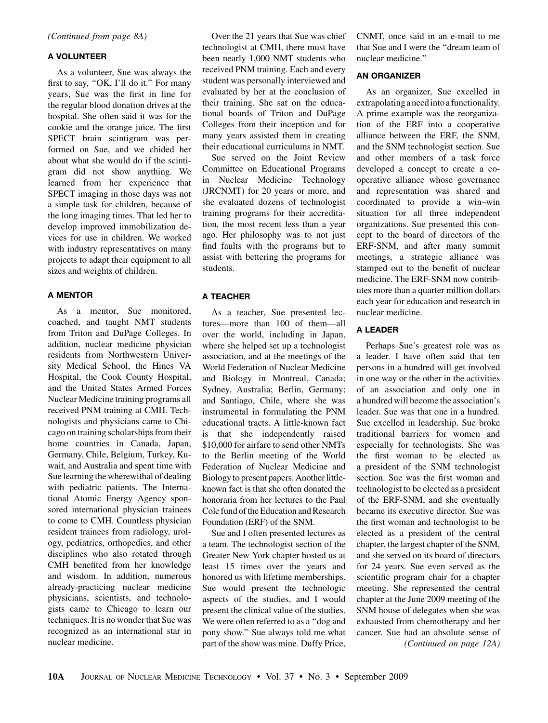(Continued from page 8A)

### A VOLUNTEER

As a volunteer, Sue was always the first to say, "OK, I'll do it." For many years, Sue was the first in line for the regular blood donation drives at the hospital. She often said it was for the cookie and the orange juice. The first SPECT brain scintigram was performed on Sue, and we chided her about what she would do if the scintigram did not show anything. We learned from her experience that SPECT imaging in those days was not a simple task for children, because of the long imaging times. That led her to develop improved immobilization devices for use in children. We worked with industry representatives on many projects to adapt their equipment to all sizes and weights of children.

#### A MENTOR

As a mentor, Sue monitored, coached, and taught NMT students from Triton and DuPage Colleges. In addition, nuclear medicine physician residents from Northwestern University Medical School, the Hines VA Hospital, the Cook County Hospital, and the United States Armed Forces Nuclear Medicine training programs all received PNM training at CMH. Technologists and physicians came to Chicago on training scholarships from their home countries in Canada, Japan, Germany, Chile, Belgium, Turkey, Kuwait, and Australia and spent time with Sue learning the wherewithal of dealing with pediatric patients. The International Atomic Energy Agency sponsored international physician trainees to come to CMH. Countless physician resident trainees from radiology, urology, pediatrics, orthopedics, and other disciplines who also rotated through CMH benefited from her knowledge and wisdom. In addition, numerous already-practicing nuclear medicine physicians, scientists, and technologists came to Chicago to learn our techniques. It is no wonder that Sue was recognized as an international star in nuclear medicine.

Over the 21 years that Sue was chief technologist at CMH, there must have been nearly 1,000 NMT students who received PNM training. Each and every student was personally interviewed and evaluated by her at the conclusion of their training. She sat on the educational boards of Triton and DuPage Colleges from their inception and for many years assisted them in creating their educational curriculums in NMT.

Sue served on the Joint Review Committee on Educational Programs in Nuclear Medicine Technology (JRCNMT) for 20 years or more, and she evaluated dozens of technologist training programs for their accreditation, the most recent less than a year ago. Her philosophy was to not just find faults with the programs but to assist with bettering the programs for students.

#### A TEACHER

As a teacher, Sue presented lectures—more than 100 of them—all over the world, including in Japan, where she helped set up a technologist association, and at the meetings of the World Federation of Nuclear Medicine and Biology in Montreal, Canada; Sydney, Australia; Berlin, Germany; and Santiago, Chile, where she was instrumental in formulating the PNM educational tracts. A little-known fact is that she independently raised \$10,000 for airfare to send other NMTs to the Berlin meeting of the World Federation of Nuclear Medicine and Biologyto present papers. Another littleknown fact is that she often donated the honoraria from her lectures to the Paul Cole fund of the Education and Research Foundation (ERF) of the SNM.

Sue and I often presented lectures as a team. The technologist section of the Greater New York chapter hosted us at least 15 times over the years and honored us with lifetime memberships. Sue would present the technologic aspects of the studies, and I would present the clinical value of the studies. We were often referred to as a ''dog and pony show.'' Sue always told me what part of the show was mine. Duffy Price,

CNMT, once said in an e-mail to me that Sue and I were the ''dream team of nuclear medicine.''

### AN ORGANIZER

As an organizer, Sue excelled in extrapolating a needinto a functionality. A prime example was the reorganization of the ERF into a cooperative alliance between the ERF, the SNM, and the SNM technologist section. Sue and other members of a task force developed a concept to create a cooperative alliance whose governance and representation was shared and coordinated to provide a win–win situation for all three independent organizations. Sue presented this concept to the board of directors of the ERF-SNM, and after many summit meetings, a strategic alliance was stamped out to the benefit of nuclear medicine. The ERF-SNM now contributes more than a quarter million dollars each year for education and research in nuclear medicine.

#### A LEADER

Perhaps Sue's greatest role was as a leader. I have often said that ten persons in a hundred will get involved in one way or the other in the activities of an association and only one in a hundred will become the association's leader. Sue was that one in a hundred. Sue excelled in leadership. Sue broke traditional barriers for women and especially for technologists. She was the first woman to be elected as a president of the SNM technologist section. Sue was the first woman and technologist to be elected as a president of the ERF-SNM, and she eventually became its executive director. Sue was the first woman and technologist to be elected as a president of the central chapter, the largest chapter of the SNM, and she served on its board of directors for 24 years. Sue even served as the scientific program chair for a chapter meeting. She represented the central chapter at the June 2009 meeting of the SNM house of delegates when she was exhausted from chemotherapy and her cancer. Sue had an absolute sense of (Continued on page 12A)